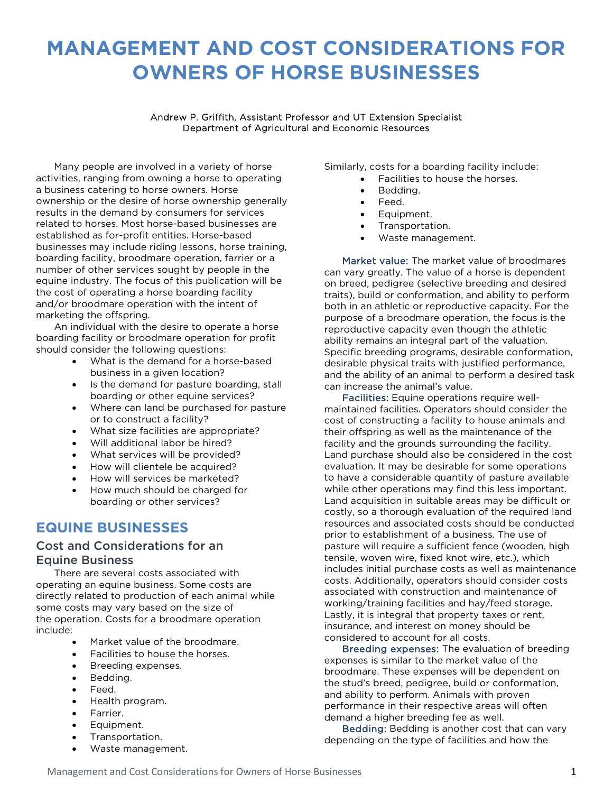# **MANAGEMENT AND COST CONSIDERATIONS FOR OWNERS OF HORSE BUSINESSES**

#### Andrew P. Griffith, Assistant Professor and UT Extension Specialist Department of Agricultural and Economic Resources

Many people are involved in a variety of horse activities, ranging from owning a horse to operating a business catering to horse owners. Horse ownership or the desire of horse ownership generally results in the demand by consumers for services related to horses. Most horse-based businesses are established as for-profit entities. Horse-based businesses may include riding lessons, horse training, boarding facility, broodmare operation, farrier or a number of other services sought by people in the equine industry. The focus of this publication will be the cost of operating a horse boarding facility and/or broodmare operation with the intent of marketing the offspring.

An individual with the desire to operate a horse boarding facility or broodmare operation for profit should consider the following questions:

- What is the demand for a horse-based business in a given location?
- Is the demand for pasture boarding, stall boarding or other equine services?
- Where can land be purchased for pasture or to construct a facility?
- What size facilities are appropriate?
- Will additional labor be hired?
- What services will be provided?
- How will clientele be acquired?
- How will services be marketed?
- How much should be charged for boarding or other services?

# **EQUINE BUSINESSES**

## Cost and Considerations for an Equine Business

There are several costs associated with operating an equine business. Some costs are directly related to production of each animal while some costs may vary based on the size of the operation. Costs for a broodmare operation include:

- Market value of the broodmare.
- Facilities to house the horses.
- Breeding expenses.
- Bedding.
- Feed.
- Health program.
- Farrier.
- Equipment.
- Transportation.
- Waste management.

Similarly, costs for a boarding facility include:

- Facilities to house the horses.
- Bedding.
- Feed.
- Equipment.
- Transportation.
- Waste management.

Market value: The market value of broodmares can vary greatly. The value of a horse is dependent on breed, pedigree (selective breeding and desired traits), build or conformation, and ability to perform both in an athletic or reproductive capacity. For the purpose of a broodmare operation, the focus is the reproductive capacity even though the athletic ability remains an integral part of the valuation. Specific breeding programs, desirable conformation, desirable physical traits with justified performance, and the ability of an animal to perform a desired task can increase the animal's value.

Facilities: Equine operations require wellmaintained facilities. Operators should consider the cost of constructing a facility to house animals and their offspring as well as the maintenance of the facility and the grounds surrounding the facility. Land purchase should also be considered in the cost evaluation. It may be desirable for some operations to have a considerable quantity of pasture available while other operations may find this less important. Land acquisition in suitable areas may be difficult or costly, so a thorough evaluation of the required land resources and associated costs should be conducted prior to establishment of a business. The use of pasture will require a sufficient fence (wooden, high tensile, woven wire, fixed knot wire, etc.), which includes initial purchase costs as well as maintenance costs. Additionally, operators should consider costs associated with construction and maintenance of working/training facilities and hay/feed storage. Lastly, it is integral that property taxes or rent, insurance, and interest on money should be considered to account for all costs.

Breeding expenses: The evaluation of breeding expenses is similar to the market value of the broodmare. These expenses will be dependent on the stud's breed, pedigree, build or conformation, and ability to perform. Animals with proven performance in their respective areas will often demand a higher breeding fee as well.

Bedding: Bedding is another cost that can vary depending on the type of facilities and how the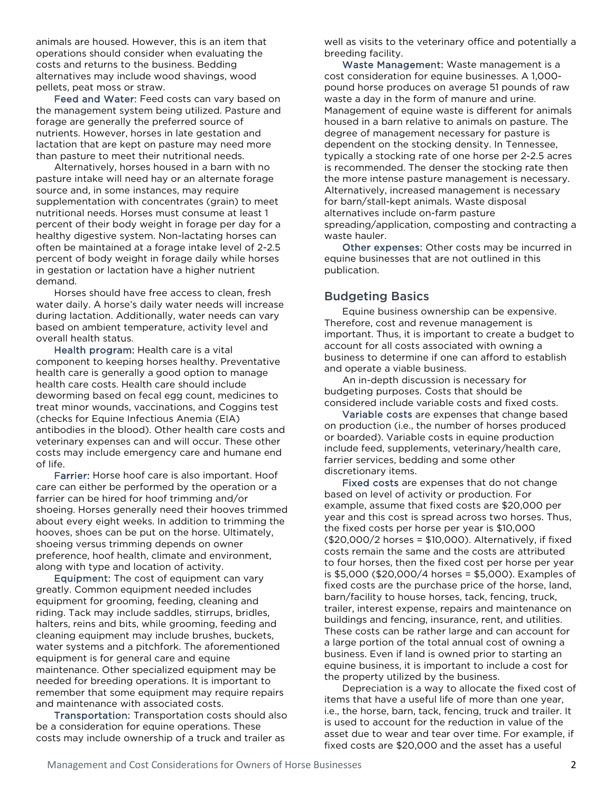animals are housed. However, this is an item that operations should consider when evaluating the costs and returns to the business. Bedding alternatives may include wood shavings, wood pellets, peat moss or straw.

Feed and Water: Feed costs can vary based on the management system being utilized. Pasture and forage are generally the preferred source of nutrients. However, horses in late gestation and lactation that are kept on pasture may need more than pasture to meet their nutritional needs.

Alternatively, horses housed in a barn with no pasture intake will need hay or an alternate forage source and, in some instances, may require supplementation with concentrates (grain) to meet nutritional needs. Horses must consume at least 1 percent of their body weight in forage per day for a healthy digestive system. Non-lactating horses can often be maintained at a forage intake level of 2-2.5 percent of body weight in forage daily while horses in gestation or lactation have a higher nutrient demand.

Horses should have free access to clean, fresh water daily. A horse's daily water needs will increase during lactation. Additionally, water needs can vary based on ambient temperature, activity level and overall health status.

Health program: Health care is a vital component to keeping horses healthy. Preventative health care is generally a good option to manage health care costs. Health care should include deworming based on fecal egg count, medicines to treat minor wounds, vaccinations, and Coggins test (checks for Equine Infectious Anemia (EIA) antibodies in the blood). Other health care costs and veterinary expenses can and will occur. These other costs may include emergency care and humane end of life.

Farrier: Horse hoof care is also important. Hoof care can either be performed by the operation or a farrier can be hired for hoof trimming and/or shoeing. Horses generally need their hooves trimmed about every eight weeks. In addition to trimming the hooves, shoes can be put on the horse. Ultimately, shoeing versus trimming depends on owner preference, hoof health, climate and environment, along with type and location of activity.

Equipment: The cost of equipment can vary greatly. Common equipment needed includes equipment for grooming, feeding, cleaning and riding. Tack may include saddles, stirrups, bridles, halters, reins and bits, while grooming, feeding and cleaning equipment may include brushes, buckets, water systems and a pitchfork. The aforementioned equipment is for general care and equine maintenance. Other specialized equipment may be needed for breeding operations. It is important to remember that some equipment may require repairs and maintenance with associated costs.

Transportation: Transportation costs should also be a consideration for equine operations. These costs may include ownership of a truck and trailer as

well as visits to the veterinary office and potentially a breeding facility.

Waste Management: Waste management is a cost consideration for equine businesses. A 1,000 pound horse produces on average 51 pounds of raw waste a day in the form of manure and urine. Management of equine waste is different for animals housed in a barn relative to animals on pasture. The degree of management necessary for pasture is dependent on the stocking density. In Tennessee, typically a stocking rate of one horse per 2-2.5 acres is recommended. The denser the stocking rate then the more intense pasture management is necessary. Alternatively, increased management is necessary for barn/stall-kept animals. Waste disposal alternatives include on-farm pasture spreading/application, composting and contracting a waste hauler.

Other expenses: Other costs may be incurred in equine businesses that are not outlined in this publication.

### Budgeting Basics

Equine business ownership can be expensive. Therefore, cost and revenue management is important. Thus, it is important to create a budget to account for all costs associated with owning a business to determine if one can afford to establish and operate a viable business.

An in-depth discussion is necessary for budgeting purposes. Costs that should be considered include variable costs and fixed costs.

Variable costs are expenses that change based on production (i.e., the number of horses produced or boarded). Variable costs in equine production include feed, supplements, veterinary/health care, farrier services, bedding and some other discretionary items.

Fixed costs are expenses that do not change based on level of activity or production. For example, assume that fixed costs are \$20,000 per year and this cost is spread across two horses. Thus, the fixed costs per horse per year is \$10,000 (\$20,000/2 horses = \$10,000). Alternatively, if fixed costs remain the same and the costs are attributed to four horses, then the fixed cost per horse per year is \$5,000 (\$20,000/4 horses = \$5,000). Examples of fixed costs are the purchase price of the horse, land, barn/facility to house horses, tack, fencing, truck, trailer, interest expense, repairs and maintenance on buildings and fencing, insurance, rent, and utilities. These costs can be rather large and can account for a large portion of the total annual cost of owning a business. Even if land is owned prior to starting an equine business, it is important to include a cost for the property utilized by the business.

Depreciation is a way to allocate the fixed cost of items that have a useful life of more than one year, i.e., the horse, barn, tack, fencing, truck and trailer. It is used to account for the reduction in value of the asset due to wear and tear over time. For example, if fixed costs are \$20,000 and the asset has a useful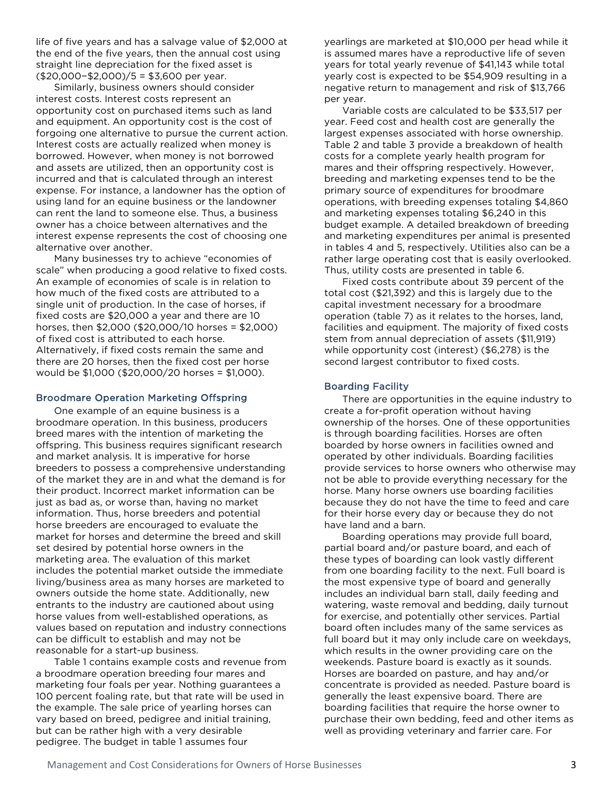life of five years and has a salvage value of \$2,000 at the end of the five years, then the annual cost using straight line depreciation for the fixed asset is (\$20,000−\$2,000)/5 = \$3,600 per year.

Similarly, business owners should consider interest costs. Interest costs represent an opportunity cost on purchased items such as land and equipment. An opportunity cost is the cost of forgoing one alternative to pursue the current action. Interest costs are actually realized when money is borrowed. However, when money is not borrowed and assets are utilized, then an opportunity cost is incurred and that is calculated through an interest expense. For instance, a landowner has the option of using land for an equine business or the landowner can rent the land to someone else. Thus, a business owner has a choice between alternatives and the interest expense represents the cost of choosing one alternative over another.

Many businesses try to achieve "economies of scale" when producing a good relative to fixed costs. An example of economies of scale is in relation to how much of the fixed costs are attributed to a single unit of production. In the case of horses, if fixed costs are \$20,000 a year and there are 10 horses, then \$2,000 (\$20,000/10 horses = \$2,000) of fixed cost is attributed to each horse. Alternatively, if fixed costs remain the same and there are 20 horses, then the fixed cost per horse would be \$1,000 (\$20,000/20 horses = \$1,000).

#### Broodmare Operation Marketing Offspring

One example of an equine business is a broodmare operation. In this business, producers breed mares with the intention of marketing the offspring. This business requires significant research and market analysis. It is imperative for horse breeders to possess a comprehensive understanding of the market they are in and what the demand is for their product. Incorrect market information can be just as bad as, or worse than, having no market information. Thus, horse breeders and potential horse breeders are encouraged to evaluate the market for horses and determine the breed and skill set desired by potential horse owners in the marketing area. The evaluation of this market includes the potential market outside the immediate living/business area as many horses are marketed to owners outside the home state. Additionally, new entrants to the industry are cautioned about using horse values from well-established operations, as values based on reputation and industry connections can be difficult to establish and may not be reasonable for a start-up business.

Table 1 contains example costs and revenue from a broodmare operation breeding four mares and marketing four foals per year. Nothing guarantees a 100 percent foaling rate, but that rate will be used in the example. The sale price of yearling horses can vary based on breed, pedigree and initial training, but can be rather high with a very desirable pedigree. The budget in table 1 assumes four

yearlings are marketed at \$10,000 per head while it is assumed mares have a reproductive life of seven years for total yearly revenue of \$41,143 while total yearly cost is expected to be \$54,909 resulting in a negative return to management and risk of \$13,766 per year.

Variable costs are calculated to be \$33,517 per year. Feed cost and health cost are generally the largest expenses associated with horse ownership. Table 2 and table 3 provide a breakdown of health costs for a complete yearly health program for mares and their offspring respectively. However, breeding and marketing expenses tend to be the primary source of expenditures for broodmare operations, with breeding expenses totaling \$4,860 and marketing expenses totaling \$6,240 in this budget example. A detailed breakdown of breeding and marketing expenditures per animal is presented in tables 4 and 5, respectively. Utilities also can be a rather large operating cost that is easily overlooked. Thus, utility costs are presented in table 6.

Fixed costs contribute about 39 percent of the total cost (\$21,392) and this is largely due to the capital investment necessary for a broodmare operation (table 7) as it relates to the horses, land, facilities and equipment. The majority of fixed costs stem from annual depreciation of assets (\$11,919) while opportunity cost (interest) (\$6,278) is the second largest contributor to fixed costs.

#### Boarding Facility

There are opportunities in the equine industry to create a for-profit operation without having ownership of the horses. One of these opportunities is through boarding facilities. Horses are often boarded by horse owners in facilities owned and operated by other individuals. Boarding facilities provide services to horse owners who otherwise may not be able to provide everything necessary for the horse. Many horse owners use boarding facilities because they do not have the time to feed and care for their horse every day or because they do not have land and a barn.

Boarding operations may provide full board, partial board and/or pasture board, and each of these types of boarding can look vastly different from one boarding facility to the next. Full board is the most expensive type of board and generally includes an individual barn stall, daily feeding and watering, waste removal and bedding, daily turnout for exercise, and potentially other services. Partial board often includes many of the same services as full board but it may only include care on weekdays, which results in the owner providing care on the weekends. Pasture board is exactly as it sounds. Horses are boarded on pasture, and hay and/or concentrate is provided as needed. Pasture board is generally the least expensive board. There are boarding facilities that require the horse owner to purchase their own bedding, feed and other items as well as providing veterinary and farrier care. For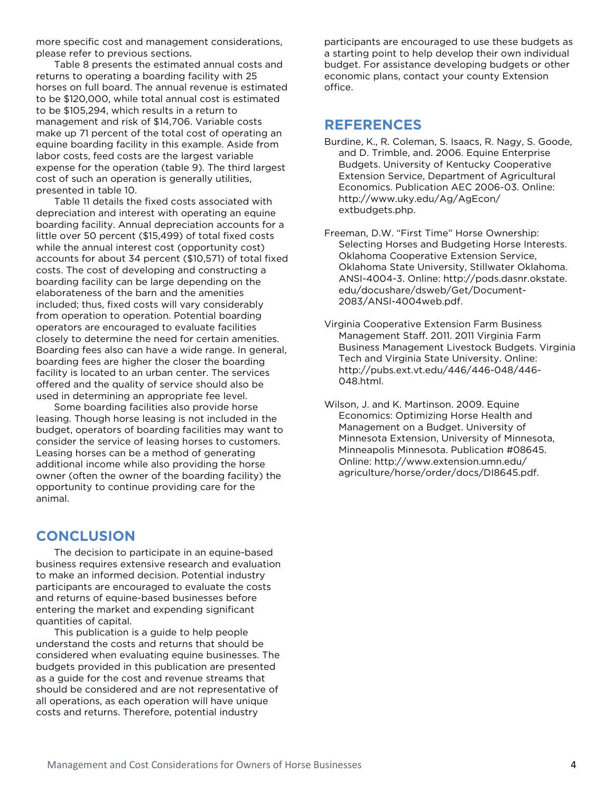more specific cost and management considerations, please refer to previous sections.

Table 8 presents the estimated annual costs and returns to operating a boarding facility with 25 horses on full board. The annual revenue is estimated to be \$120,000, while total annual cost is estimated to be \$105,294, which results in a return to management and risk of \$14,706. Variable costs make up 71 percent of the total cost of operating an equine boarding facility in this example. Aside from labor costs, feed costs are the largest variable expense for the operation (table 9). The third largest cost of such an operation is generally utilities, presented in table 10.

Table 11 details the fixed costs associated with depreciation and interest with operating an equine boarding facility. Annual depreciation accounts for a little over 50 percent (\$15,499) of total fixed costs while the annual interest cost (opportunity cost) accounts for about 34 percent (\$10,571) of total fixed costs. The cost of developing and constructing a boarding facility can be large depending on the elaborateness of the barn and the amenities included; thus, fixed costs will vary considerably from operation to operation. Potential boarding operators are encouraged to evaluate facilities closely to determine the need for certain amenities. Boarding fees also can have a wide range. In general, boarding fees are higher the closer the boarding facility is located to an urban center. The services offered and the quality of service should also be used in determining an appropriate fee level.

Some boarding facilities also provide horse leasing. Though horse leasing is not included in the budget, operators of boarding facilities may want to consider the service of leasing horses to customers. Leasing horses can be a method of generating additional income while also providing the horse owner (often the owner of the boarding facility) the opportunity to continue providing care for the animal.

# **CONCLUSION**

The decision to participate in an equine-based business requires extensive research and evaluation to make an informed decision. Potential industry participants are encouraged to evaluate the costs and returns of equine-based businesses before entering the market and expending significant quantities of capital.

This publication is a guide to help people understand the costs and returns that should be considered when evaluating equine businesses. The budgets provided in this publication are presented as a guide for the cost and revenue streams that should be considered and are not representative of all operations, as each operation will have unique costs and returns. Therefore, potential industry

participants are encouraged to use these budgets as a starting point to help develop their own individual budget. For assistance developing budgets or other economic plans, contact your county Extension office.

# **REFERENCES**

- Burdine, K., R. Coleman, S. Isaacs, R. Nagy, S. Goode, and D. Trimble, and. 2006. Equine Enterprise Budgets. University of Kentucky Cooperative Extension Service, Department of Agricultural Economics. Publication AEC 2006-03. Online: http://www.uky.edu/Ag/AgEcon/ extbudgets.php.
- Freeman, D.W. "First Time" Horse Ownership: Selecting Horses and Budgeting Horse Interests. Oklahoma Cooperative Extension Service, Oklahoma State University, Stillwater Oklahoma. ANSI-4004-3. Online: http://pods.dasnr.okstate. edu/docushare/dsweb/Get/Document-2083/ANSI-4004web.pdf.
- Virginia Cooperative Extension Farm Business Management Staff. 2011. 2011 Virginia Farm Business Management Livestock Budgets. Virginia Tech and Virginia State University. Online: http://pubs.ext.vt.edu/446/446-048/446- 048.html.

Wilson, J. and K. Martinson, 2009. Equine Economics: Optimizing Horse Health and Management on a Budget. University of Minnesota Extension, University of Minnesota, Minneapolis Minnesota. Publication #08645. Online: http://www.extension.umn.edu/ agriculture/horse/order/docs/DI8645.pdf.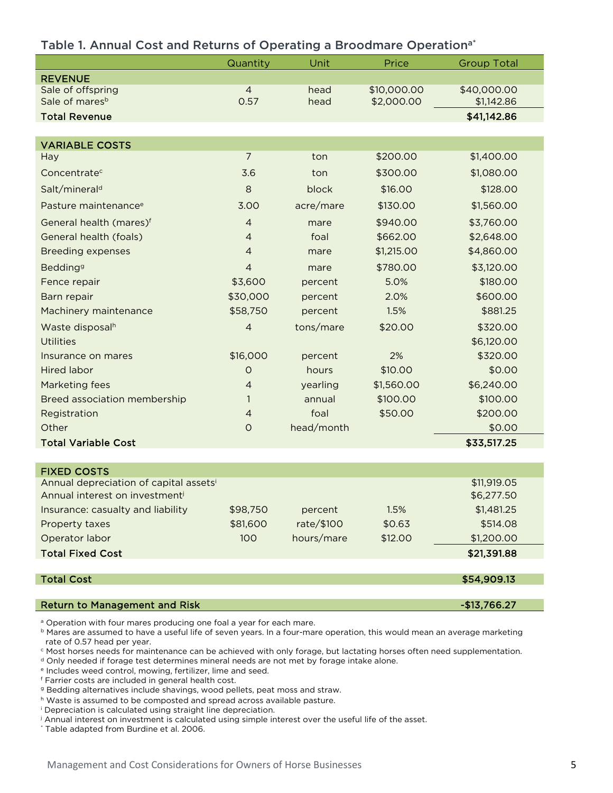|                                                                     | Quantity       | Unit       | Price       | <b>Group Total</b> |
|---------------------------------------------------------------------|----------------|------------|-------------|--------------------|
| <b>REVENUE</b>                                                      |                |            |             |                    |
| Sale of offspring                                                   | $\overline{4}$ | head       | \$10,000.00 | \$40,000.00        |
| Sale of mares <sup>b</sup>                                          | 0.57           | head       | \$2,000.00  | \$1,142.86         |
| <b>Total Revenue</b>                                                |                |            |             | \$41,142.86        |
|                                                                     |                |            |             |                    |
| <b>VARIABLE COSTS</b>                                               |                |            |             |                    |
| Hay                                                                 | $\overline{7}$ | ton        | \$200.00    | \$1,400.00         |
| Concentrate <sup>c</sup>                                            | 3.6            | ton        | \$300.00    | \$1,080.00         |
| Salt/mineral <sup>d</sup>                                           | $\,8\,$        | block      | \$16.00     | \$128.00           |
| Pasture maintenance <sup>e</sup>                                    | 3.00           | acre/mare  | \$130.00    | \$1,560.00         |
| General health (mares)f                                             | $\overline{4}$ | mare       | \$940.00    | \$3,760.00         |
| General health (foals)                                              | $\overline{4}$ | foal       | \$662.00    | \$2,648.00         |
| <b>Breeding expenses</b>                                            | $\overline{4}$ | mare       | \$1,215.00  | \$4,860.00         |
| Bedding <sup>g</sup>                                                | $\overline{4}$ | mare       | \$780.00    | \$3,120.00         |
| Fence repair                                                        | \$3,600        | percent    | 5.0%        | \$180.00           |
| Barn repair                                                         | \$30,000       | percent    | 2.0%        | \$600.00           |
| Machinery maintenance                                               | \$58,750       | percent    | 1.5%        | \$881.25           |
| Waste disposalh                                                     | $\overline{4}$ | tons/mare  | \$20.00     | \$320.00           |
| <b>Utilities</b>                                                    |                |            |             | \$6,120.00         |
| Insurance on mares                                                  | \$16,000       | percent    | 2%          | \$320.00           |
| <b>Hired labor</b>                                                  | $\circ$        | hours      | \$10.00     | \$0.00             |
| Marketing fees                                                      | $\overline{4}$ | yearling   | \$1,560.00  | \$6,240.00         |
| <b>Breed association membership</b>                                 | 1              | annual     | \$100.00    | \$100.00           |
| Registration                                                        | $\overline{4}$ | foal       | \$50.00     | \$200.00           |
| Other                                                               | $\circ$        | head/month |             | \$0.00             |
| <b>Total Variable Cost</b>                                          |                |            |             | \$33,517.25        |
|                                                                     |                |            |             |                    |
| <b>FIXED COSTS</b>                                                  |                |            |             |                    |
| Annual depreciation of capital assetsi                              |                |            |             | \$11,919.05        |
| Annual interest on investmenti                                      |                |            |             | \$6,277.50         |
| Insurance: casualty and liability                                   | \$98,750       | percent    | 1.5%        | \$1,481.25         |
| Property taxes                                                      | \$81,600       | rate/\$100 | \$0.63      | \$514.08           |
| Operator labor                                                      | 100            | hours/mare | \$12.00     | \$1,200.00         |
| <b>Total Fixed Cost</b>                                             |                |            |             | \$21,391.88        |
| <b>Total Cost</b>                                                   |                |            |             | \$54,909.13        |
|                                                                     |                |            |             |                    |
| <b>Return to Management and Risk</b>                                |                |            |             | $-$13,766.27$      |
| a Operation with four mares producing one foal a vear for each mare |                |            |             |                    |

### Table 1. Annual Cost and Returns of Operating a Broodmare Operation<sup>a\*</sup>

)peration with four mares producing one foal a year for each mare.

b Mares are assumed to have a useful life of seven years. In a four-mare operation, this would mean an average marketing rate of 0.57 head per year.

<sup>c</sup> Most horses needs for maintenance can be achieved with only forage, but lactating horses often need supplementation.

<sup>d</sup> Only needed if forage test determines mineral needs are not met by forage intake alone.

<sup>e</sup> Includes weed control, mowing, fertilizer, lime and seed.

<sup>f</sup> Farrier costs are included in general health cost.

<sup>g</sup> Bedding alternatives include shavings, wood pellets, peat moss and straw.

h Waste is assumed to be composted and spread across available pasture.

<sup>i</sup> Depreciation is calculated using straight line depreciation.

<sup>j</sup> Annual interest on investment is calculated using simple interest over the useful life of the asset.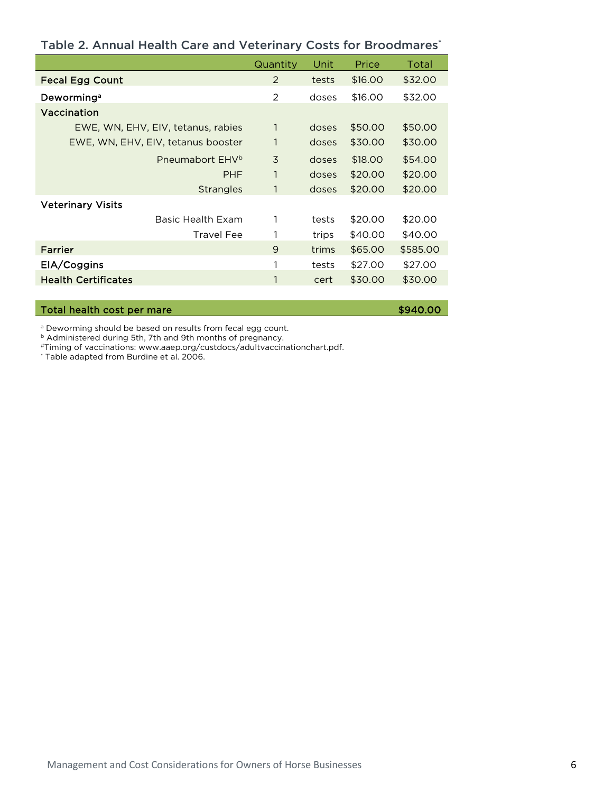|                                    | Quantity       | Unit  | Price   | Total    |
|------------------------------------|----------------|-------|---------|----------|
| <b>Fecal Egg Count</b>             | 2              | tests | \$16,00 | \$32.00  |
| Deworming <sup>a</sup>             | $\overline{2}$ | doses | \$16.00 | \$32.00  |
| Vaccination                        |                |       |         |          |
| EWE, WN, EHV, EIV, tetanus, rabies | $\mathbf{1}$   | doses | \$50.00 | \$50.00  |
| EWE, WN, EHV, EIV, tetanus booster | 1              | doses | \$30.00 | \$30.00  |
| Pneumabort EHV <sup>b</sup>        | 3              | doses | \$18.00 | \$54.00  |
| PHF                                | $\mathbf{1}$   | doses | \$20.00 | \$20.00  |
| <b>Strangles</b>                   | 1              | doses | \$20.00 | \$20.00  |
| <b>Veterinary Visits</b>           |                |       |         |          |
| Basic Health Exam                  | 1              | tests | \$20.00 | \$20.00  |
| Travel Fee                         |                | trips | \$40.00 | \$40.00  |
| Farrier                            | 9              | trims | \$65.00 | \$585.00 |
| EIA/Coggins                        | 1              | tests | \$27.00 | \$27.00  |
| <b>Health Certificates</b>         | 1              | cert  | \$30.00 | \$30.00  |

### Table 2. Annual Health Care and Veterinary Costs for Broodmares\*

Total health cost per mare the state of the state of the state  $$940.00$ 

<sup>a</sup> Deworming should be based on results from fecal egg count.

<sup>b</sup> Administered during 5th, 7th and 9th months of pregnancy.

#Timing of vaccinations: www.aaep.org/custdocs/adultvaccinationchart.pdf.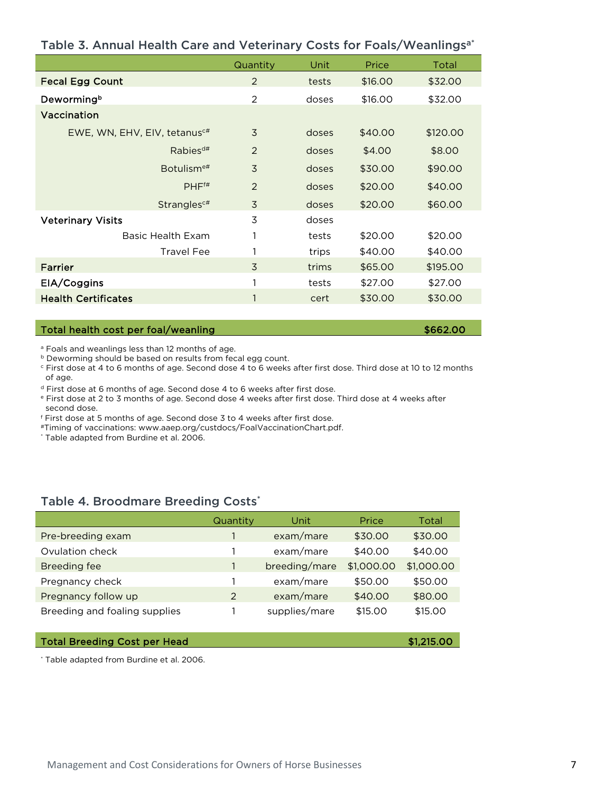| Table 3. Annual Health Care and Veterinary Costs for Foals/Weanlings <sup>a*</sup> |  |  |  |  |  |
|------------------------------------------------------------------------------------|--|--|--|--|--|
|------------------------------------------------------------------------------------|--|--|--|--|--|

|                                          | Quantity       | Unit  | Price   | Total    |
|------------------------------------------|----------------|-------|---------|----------|
| <b>Fecal Egg Count</b>                   | 2              | tests | \$16.00 | \$32.00  |
| Dewormingb                               | 2              | doses | \$16.00 | \$32.00  |
| Vaccination                              |                |       |         |          |
| EWE, WN, EHV, EIV, tetanus <sup>c#</sup> | 3              | doses | \$40.00 | \$120.00 |
| $Rabies^{d#}$                            | 2              | doses | \$4.00  | \$8.00   |
| Botulism <sup>e#</sup>                   | $\overline{3}$ | doses | \$30.00 | \$90.00  |
| PHF <sup>ft</sup>                        | 2              | doses | \$20.00 | \$40.00  |
| Strangles <sup>c#</sup>                  | 3              | doses | \$20.00 | \$60.00  |
| <b>Veterinary Visits</b>                 | 3              | doses |         |          |
| Basic Health Exam                        |                | tests | \$20.00 | \$20.00  |
| <b>Travel Fee</b>                        |                | trips | \$40.00 | \$40.00  |
| Farrier                                  | 3              | trims | \$65.00 | \$195.00 |
| EIA/Coggins                              |                | tests | \$27.00 | \$27.00  |
| <b>Health Certificates</b>               | $\mathbf{1}$   | cert  | \$30.00 | \$30.00  |

### Total health cost per foal/weanling \$662.00

<sup>a</sup> Foals and weanlings less than 12 months of age.

**b** Deworming should be based on results from fecal egg count.

<sup>c</sup> First dose at 4 to 6 months of age. Second dose 4 to 6 weeks after first dose. Third dose at 10 to 12 months of age.

<sup>d</sup> First dose at 6 months of age. Second dose 4 to 6 weeks after first dose.

<sup>e</sup> First dose at 2 to 3 months of age. Second dose 4 weeks after first dose. Third dose at 4 weeks after second dose.

<sup>f</sup> First dose at 5 months of age. Second dose 3 to 4 weeks after first dose.

#Timing of vaccinations: www.aaep.org/custdocs/FoalVaccinationChart.pdf.

\* Table adapted from Burdine et al. 2006.

### Table 4. Broodmare Breeding Costs\*

|                               | Quantity | Unit          | Price      | Total      |
|-------------------------------|----------|---------------|------------|------------|
| Pre-breeding exam             |          | exam/mare     | \$30.00    | \$30.00    |
| Ovulation check               |          | exam/mare     | \$40.00    | \$40.00    |
| <b>Breeding fee</b>           |          | breeding/mare | \$1,000.00 | \$1,000.00 |
| Pregnancy check               |          | exam/mare     | \$50.00    | \$50.00    |
| Pregnancy follow up           | 2        | exam/mare     | \$40.00    | \$80.00    |
| Breeding and foaling supplies |          | supplies/mare | \$15,00    | \$15,00    |

### Total Breeding Cost per Head **\$1,215.00** \$1,215.00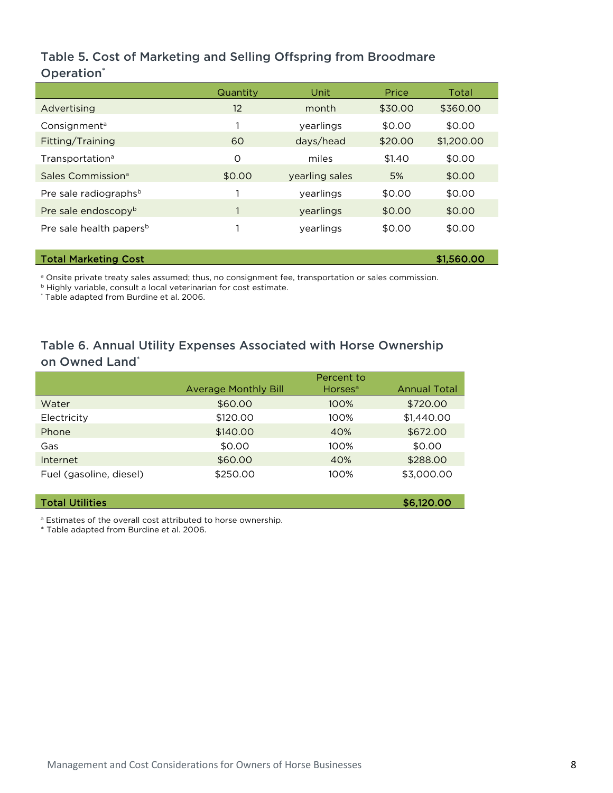# Table 5. Cost of Marketing and Selling Offspring from Broodmare Operation<sup>\*</sup>

|                                     | Quantity          | Unit           | Price   | Total      |
|-------------------------------------|-------------------|----------------|---------|------------|
| Advertising                         | $12 \overline{ }$ | month          | \$30.00 | \$360.00   |
| Consignment <sup>a</sup>            |                   | vearlings      | \$0.00  | \$0.00     |
| Fitting/Training                    | 60                | days/head      | \$20.00 | \$1,200.00 |
| Transportation <sup>a</sup>         | O                 | miles          | \$1.40  | \$0.00     |
| Sales Commission <sup>a</sup>       | \$0.00            | yearling sales | 5%      | \$0.00     |
| Pre sale radiographs <sup>b</sup>   |                   | yearlings      | \$0.00  | \$0.00     |
| Pre sale endoscopy <sup>b</sup>     |                   | vearlings      | \$0.00  | \$0.00     |
| Pre sale health papers <sup>b</sup> |                   | vearlings      | \$0.00  | \$0.00     |

#### Total Marketing Cost **\$1,560.00**

a Onsite private treaty sales assumed; thus, no consignment fee, transportation or sales commission.

**b Highly variable, consult a local veterinarian for cost estimate.** 

\* Table adapted from Burdine et al. 2006.

# Table 6. Annual Utility Expenses Associated with Horse Ownership on Owned Land\*

|                         | <b>Average Monthly Bill</b> | Horses <sup>a</sup> | <b>Annual Total</b> |
|-------------------------|-----------------------------|---------------------|---------------------|
| Water                   | \$60.00                     | 100%                | \$720.00            |
| Electricity             | \$120.00                    | $100\%$             | \$1,440.00          |
| Phone                   | \$140.00                    | 40%                 | \$672.00            |
| Gas                     | \$0.00                      | 100%                | \$0.00              |
| Internet                | \$60.00                     | 40%                 | \$288,00            |
| Fuel (gasoline, diesel) | \$250.00                    | 100%                | \$3,000.00          |

### Total Utilities \$6,120.00

a Estimates of the overall cost attributed to horse ownership.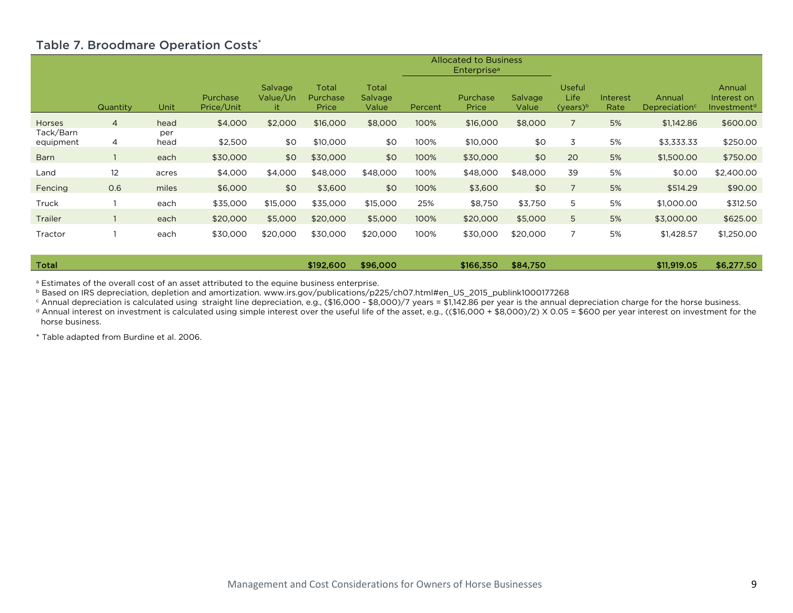### Table 7. Broodmare Operation Costs\*

|                        |          |             |                        |                            |                            |                           |         | <b>Allocated to Business</b><br><b>Enterprise</b> <sup>a</sup> |                         |                                             |                  |                                     |                                                  |
|------------------------|----------|-------------|------------------------|----------------------------|----------------------------|---------------------------|---------|----------------------------------------------------------------|-------------------------|---------------------------------------------|------------------|-------------------------------------|--------------------------------------------------|
|                        | Quantity | Unit        | Purchase<br>Price/Unit | Salvage<br>Value/Un<br>it. | Total<br>Purchase<br>Price | Total<br>Salvage<br>Value | Percent | Purchase<br>Price                                              | <b>Salvage</b><br>Value | <b>Useful</b><br><b>Life</b><br>$(years)^b$ | Interest<br>Rate | Annual<br>Depreciation <sup>c</sup> | Annual<br>Interest on<br>Investment <sup>d</sup> |
| <b>Horses</b>          | 4        | head        | \$4,000                | \$2,000                    | \$16,000                   | \$8,000                   | 100%    | \$16,000                                                       | \$8,000                 |                                             | 5%               | \$1,142.86                          | \$600.00                                         |
| Tack/Barn<br>equipment | 4        | per<br>head | \$2,500                | \$0                        | \$10,000                   | \$0                       | 100%    | \$10,000                                                       | \$0                     | 3                                           | 5%               | \$3,333.33                          | \$250.00                                         |
| <b>Barn</b>            |          | each        | \$30,000               | \$0                        | \$30,000                   | \$0                       | 100%    | \$30,000                                                       | \$0                     | 20                                          | 5%               | \$1,500.00                          | \$750.00                                         |
| Land                   | 12       | acres       | \$4,000                | \$4,000                    | \$48,000                   | \$48,000                  | 100%    | \$48,000                                                       | \$48,000                | 39                                          | 5%               | \$0.00                              | \$2,400.00                                       |
| Fencing                | 0.6      | miles       | \$6,000                | \$0                        | \$3,600                    | \$0                       | 100%    | \$3,600                                                        | \$0                     |                                             | 5%               | \$514.29                            | \$90.00                                          |
| Truck                  |          | each        | \$35,000               | \$15,000                   | \$35,000                   | \$15,000                  | 25%     | \$8,750                                                        | \$3,750                 | 5                                           | 5%               | \$1,000.00                          | \$312.50                                         |
| <b>Trailer</b>         |          | each        | \$20,000               | \$5,000                    | \$20,000                   | \$5,000                   | 100%    | \$20,000                                                       | \$5,000                 | 5                                           | 5%               | \$3,000.00                          | \$625.00                                         |
| Tractor                |          | each        | \$30,000               | \$20,000                   | \$30,000                   | \$20,000                  | 100%    | \$30,000                                                       | \$20,000                |                                             | 5%               | \$1,428.57                          | \$1,250.00                                       |

| Total | \$192,600 | \$96,000 | \$166,350 | \$84,750 | \$11,919.05 | \$6,277.50 |
|-------|-----------|----------|-----------|----------|-------------|------------|
|       |           |          |           |          |             |            |

<sup>a</sup> Estimates of the overall cost of an asset attributed to the equine business enterprise.

b Based on IRS depreciation, depletion and amortization. www.irs.gov/publications/p225/ch07.html#en\_US\_2015\_publink1000177268

c Annual depreciation is calculated using straight line depreciation, e.g., (\$16,000 - \$8,000)/7 years = \$1,142.86 per year is the annual depreciation charge for the horse business.

d Annual interest on investment is calculated using simple interest over the useful life of the asset, e.g., ((\$16,000 + \$8,000)/2) X 0.05 = \$600 per year interest on investment for the horse business.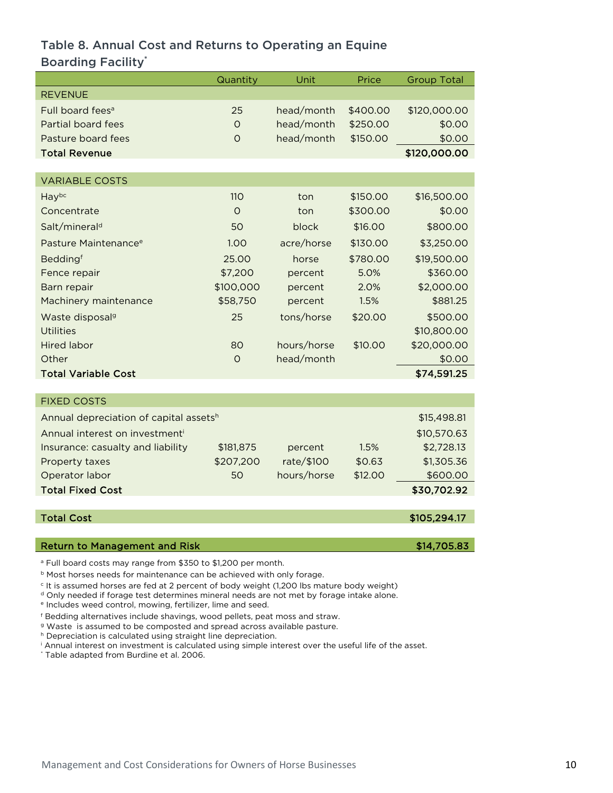# Table 8. Annual Cost and Returns to Operating an Equine Boarding Facility\*

|                                                                                                                                                                                      | Quantity   | Unit        | Price    | <b>Group Total</b> |
|--------------------------------------------------------------------------------------------------------------------------------------------------------------------------------------|------------|-------------|----------|--------------------|
| <b>REVENUE</b>                                                                                                                                                                       |            |             |          |                    |
| Full board fees <sup>a</sup>                                                                                                                                                         | 25         | head/month  | \$400.00 | \$120,000.00       |
| Partial board fees                                                                                                                                                                   | O          | head/month  | \$250.00 | \$0.00             |
| Pasture board fees                                                                                                                                                                   | O          | head/month  | \$150.00 | \$0.00             |
| <b>Total Revenue</b>                                                                                                                                                                 |            |             |          | \$120,000.00       |
|                                                                                                                                                                                      |            |             |          |                    |
| <b>VARIABLE COSTS</b>                                                                                                                                                                |            |             |          |                    |
| Haybc                                                                                                                                                                                | <b>110</b> | ton         | \$150.00 | \$16,500.00        |
| Concentrate                                                                                                                                                                          | $\circ$    | ton         | \$300.00 | \$0.00             |
| Salt/mineral <sup>d</sup>                                                                                                                                                            | 50         | block       | \$16.00  | \$800.00           |
| Pasture Maintenance <sup>e</sup>                                                                                                                                                     | 1.00       | acre/horse  | \$130.00 | \$3,250.00         |
| Beddingf                                                                                                                                                                             | 25.00      | horse       | \$780.00 | \$19,500.00        |
| Fence repair                                                                                                                                                                         | \$7,200    | percent     | 5.0%     | \$360.00           |
| Barn repair                                                                                                                                                                          | \$100,000  | percent     | 2.0%     | \$2,000.00         |
| Machinery maintenance                                                                                                                                                                | \$58,750   | percent     | 1.5%     | \$881.25           |
| Waste disposal <sup>9</sup>                                                                                                                                                          | 25         | tons/horse  | \$20.00  | \$500.00           |
| <b>Utilities</b>                                                                                                                                                                     |            |             |          | \$10,800.00        |
| <b>Hired labor</b>                                                                                                                                                                   | 80         | hours/horse | \$10.00  | \$20,000.00        |
| Other                                                                                                                                                                                | $\circ$    | head/month  |          | \$0.00             |
| <b>Total Variable Cost</b>                                                                                                                                                           |            |             |          | \$74,591.25        |
|                                                                                                                                                                                      |            |             |          |                    |
| <b>FIXED COSTS</b>                                                                                                                                                                   |            |             |          |                    |
| Annual depreciation of capital assetsh                                                                                                                                               |            |             |          | \$15,498.81        |
| Annual interest on investmenti                                                                                                                                                       |            |             |          | \$10,570.63        |
| Insurance: casualty and liability                                                                                                                                                    | \$181,875  | percent     | 1.5%     | \$2,728.13         |
| Property taxes                                                                                                                                                                       | \$207,200  | rate/\$100  | \$0.63   | \$1,305.36         |
| Operator labor                                                                                                                                                                       | 50         | hours/horse | \$12.00  | \$600.00           |
| <b>Total Fixed Cost</b>                                                                                                                                                              |            |             |          | \$30,702.92        |
|                                                                                                                                                                                      |            |             |          |                    |
| <b>Total Cost</b>                                                                                                                                                                    |            |             |          | \$105,294.17       |
| <b>Return to Management and Risk</b>                                                                                                                                                 |            |             |          | \$14,705.83        |
| <sup>a</sup> Full board costs may range from \$350 to \$1,200 per month.                                                                                                             |            |             |          |                    |
| <b>b</b> Most horses needs for maintenance can be achieved with only forage.<br><sup>c</sup> It is assumed horses are fed at 2 percent of body weight (1,200 lbs mature body weight) |            |             |          |                    |

<sup>d</sup> Only needed if forage test determines mineral needs are not met by forage intake alone.

<sup>e</sup> Includes weed control, mowing, fertilizer, lime and seed.

<sup>f</sup> Bedding alternatives include shavings, wood pellets, peat moss and straw.

<sup>g</sup> Waste is assumed to be composted and spread across available pasture.

h Depreciation is calculated using straight line depreciation.

<sup>i</sup> Annual interest on investment is calculated using simple interest over the useful life of the asset.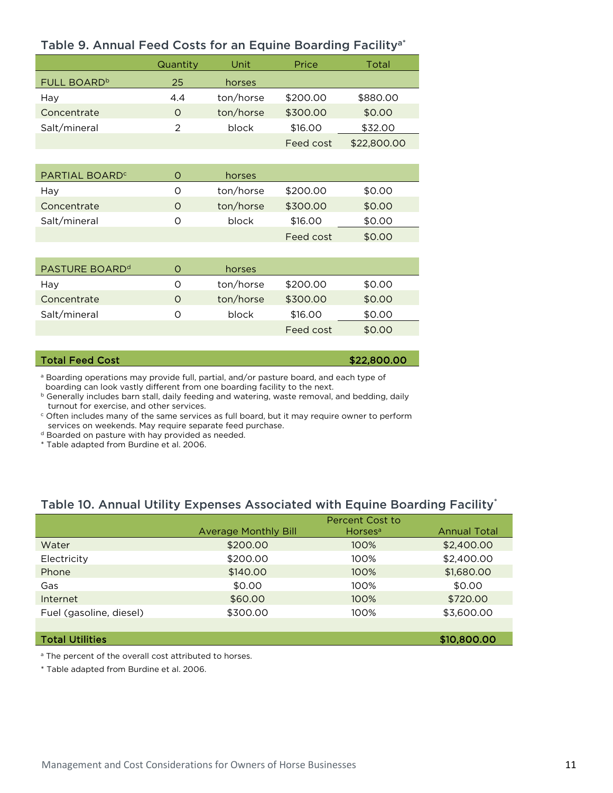| Table 9. Annual Feed Costs for an Equine Boarding Facility" |          |           |           |             |  |  |  |
|-------------------------------------------------------------|----------|-----------|-----------|-------------|--|--|--|
|                                                             | Quantity | Unit      | Price     | Total       |  |  |  |
| FULL BOARD <sup>b</sup>                                     | 25       | horses    |           |             |  |  |  |
| Hay                                                         | 4.4      | ton/horse | \$200.00  | \$880.00    |  |  |  |
| Concentrate                                                 | $\Omega$ | ton/horse | \$300.00  | \$0.00      |  |  |  |
| Salt/mineral                                                | 2        | block     | \$16.00   | \$32.00     |  |  |  |
|                                                             |          |           | Feed cost | \$22,800.00 |  |  |  |
|                                                             |          |           |           |             |  |  |  |
| PARTIAL BOARD <sup>c</sup>                                  | O        | horses    |           |             |  |  |  |
|                                                             |          |           |           |             |  |  |  |

# Table 9. Annual Feed Costs for an Equine Boarding Facility<sup>a\*</sup>

| PARTIAL BOARD <sup>c</sup> |   | horses    |           |        |  |
|----------------------------|---|-----------|-----------|--------|--|
| Hay                        |   | ton/horse | \$200.00  | \$0.00 |  |
| Concentrate                | Ő | ton/horse | \$300.00  | \$0.00 |  |
| Salt/mineral               |   | block     | \$16,00   | \$0.00 |  |
|                            |   |           | Feed cost | \$0.00 |  |

| PASTURE BOARD <sup>d</sup> |          | horses    |           |        |
|----------------------------|----------|-----------|-----------|--------|
| Hay                        | $\Omega$ | ton/horse | \$200.00  | \$0.00 |
| Concentrate                | O        | ton/horse | \$300.00  | \$0.00 |
| Salt/mineral               |          | block     | \$16.00   | \$0.00 |
|                            |          |           | Feed cost | \$0.00 |

# Total Feed Cost  $$22,800.00$

a Boarding operations may provide full, partial, and/or pasture board, and each type of boarding can look vastly different from one boarding facility to the next.

**b** Generally includes barn stall, daily feeding and watering, waste removal, and bedding, daily turnout for exercise, and other services.

 $\epsilon$  Often includes many of the same services as full board, but it may require owner to perform services on weekends. May require separate feed purchase.

- d Boarded on pasture with hay provided as needed.
- \* Table adapted from Burdine et al. 2006.

## Table 10. Annual Utility Expenses Associated with Equine Boarding Facility\*

|                         |                             | Percent Cost to     |                     |
|-------------------------|-----------------------------|---------------------|---------------------|
|                         | <b>Average Monthly Bill</b> | Horses <sup>a</sup> | <b>Annual Total</b> |
| Water                   | \$200.00                    | 100%                | \$2,400.00          |
| Electricity             | \$200.00                    | 100%                | \$2,400.00          |
| Phone                   | \$140.00                    | 100%                | \$1,680.00          |
| Gas                     | \$0.00                      | 100%                | \$0.00              |
| Internet                | \$60.00                     | 100%                | \$720.00            |
| Fuel (gasoline, diesel) | \$300.00                    | 100%                | \$3,600.00          |
|                         |                             |                     |                     |

#### Total Utilities \$10,800.00

<sup>a</sup> The percent of the overall cost attributed to horses.